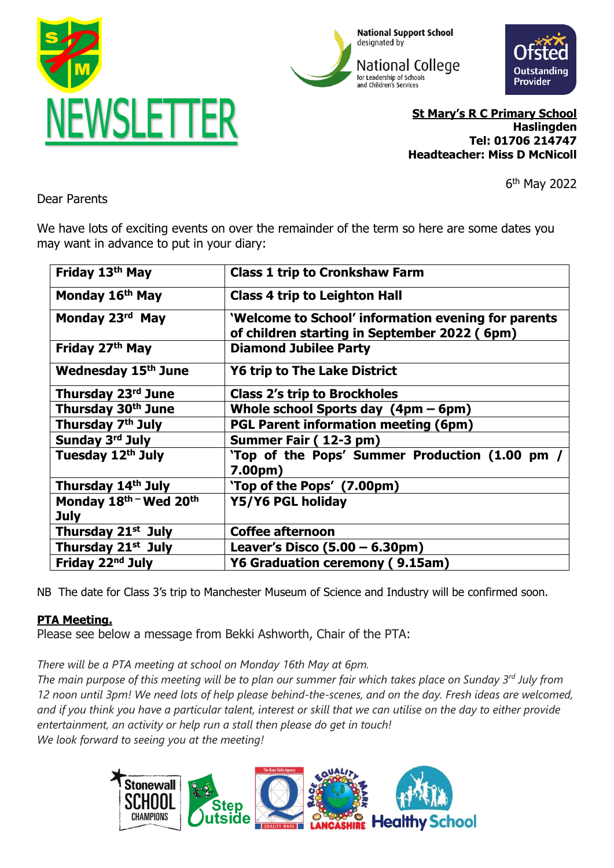





**St Mary's R C Primary School Haslingden Tel: 01706 214747 Headteacher: Miss D McNicoll**

6 th May 2022

Dear Parents

We have lots of exciting events on over the remainder of the term so here are some dates you may want in advance to put in your diary:

| Friday 13 <sup>th</sup> May    | <b>Class 1 trip to Cronkshaw Farm</b>                                                               |
|--------------------------------|-----------------------------------------------------------------------------------------------------|
| Monday 16 <sup>th</sup> May    | <b>Class 4 trip to Leighton Hall</b>                                                                |
| Monday 23rd May                | 'Welcome to School' information evening for parents<br>of children starting in September 2022 (6pm) |
| Friday 27th May                | <b>Diamond Jubilee Party</b>                                                                        |
| <b>Wednesday 15th June</b>     | <b>Y6 trip to The Lake District</b>                                                                 |
| Thursday 23rd June             | <b>Class 2's trip to Brockholes</b>                                                                 |
| Thursday 30th June             | Whole school Sports day $(4pm - 6pm)$                                                               |
| Thursday 7 <sup>th</sup> July  | <b>PGL Parent information meeting (6pm)</b>                                                         |
| Sunday 3rd July                | Summer Fair (12-3 pm)                                                                               |
| Tuesday 12 <sup>th</sup> July  | 'Top of the Pops' Summer Production (1.00 pm /<br>7.00 <sub>pm</sub>                                |
| Thursday 14th July             | 'Top of the Pops' (7.00pm)                                                                          |
| Monday 18th - Wed 20th         | Y5/Y6 PGL holiday                                                                                   |
| <b>July</b>                    |                                                                                                     |
| Thursday 21 <sup>st</sup> July | <b>Coffee afternoon</b>                                                                             |
| Thursday 21 <sup>st</sup> July | Leaver's Disco $(5.00 - 6.30 \text{pm})$                                                            |
| Friday 22 <sup>nd</sup> July   | Y6 Graduation ceremony (9.15am)                                                                     |

NB The date for Class 3's trip to Manchester Museum of Science and Industry will be confirmed soon.

# **PTA Meeting.**

Please see below a message from Bekki Ashworth, Chair of the PTA:

*There will be a PTA meeting at school on Monday 16th May at 6pm.*

*The main purpose of this meeting will be to plan our summer fair which takes place on Sunday 3rd July from 12 noon until 3pm! We need lots of help please behind-the-scenes, and on the day. Fresh ideas are welcomed, and if you think you have a particular talent, interest or skill that we can utilise on the day to either provide entertainment, an activity or help run a stall then please do get in touch! We look forward to seeing you at the meeting!*